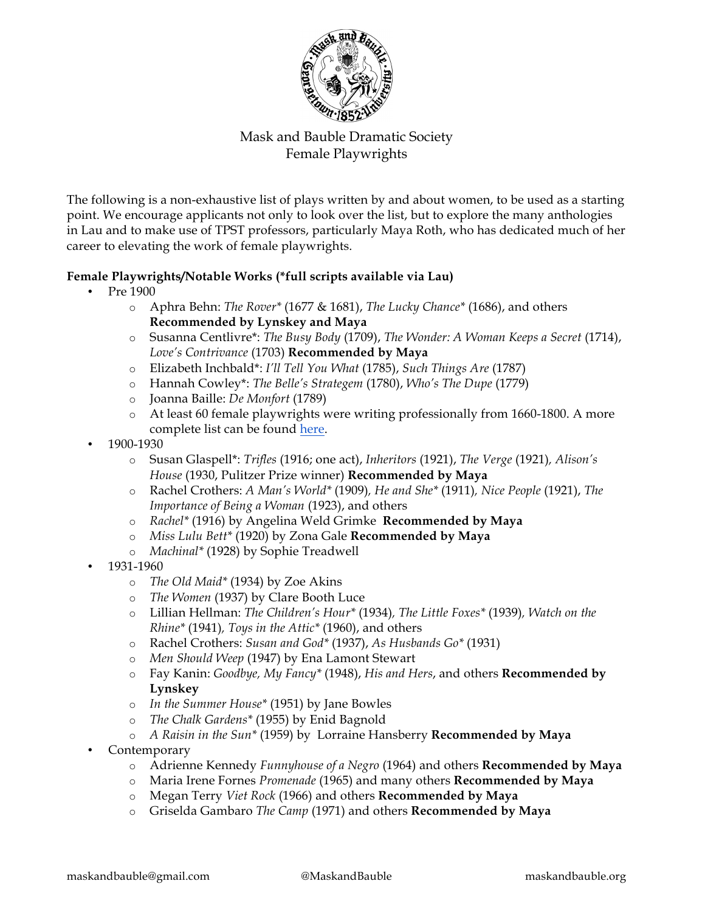

The following is a non-exhaustive list of plays written by and about women, to be used as a starting point. We encourage applicants not only to look over the list, but to explore the many anthologies in Lau and to make use of TPST professors, particularly Maya Roth, who has dedicated much of her career to elevating the work of female playwrights.

## **Female Playwrights/Notable Works (\*full scripts available via Lau)**

- Pre 1900
	- o Aphra Behn: *The Rover\** (1677 & 1681), *The Lucky Chance\** (1686), and others **Recommended by Lynskey and Maya**
	- o Susanna Centlivre\*: *The Busy Body* (1709), *The Wonder: A Woman Keeps a Secret* (1714), *Love's Contrivance* (1703) **Recommended by Maya**
	- o Elizabeth Inchbald\*: *I'll Tell You What* (1785), *Such Things Are* (1787)
	- o Hannah Cowley\*: *The Belle's Strategem* (1780), *Who's The Dupe* (1779)
	- o Joanna Baille: *De Monfort* (1789)
	- o At least 60 female playwrights were writing professionally from 1660-1800. A more complete list can be found here.
- 1900-1930
	- o Susan Glaspell\*: *Trifles* (1916; one act), *Inheritors* (1921), *The Verge* (1921)*, Alison's House* (1930, Pulitzer Prize winner) **Recommended by Maya**
	- o Rachel Crothers: *A Man's World\** (1909)*, He and She\** (1911)*, Nice People* (1921), *The Importance of Being a Woman* (1923), and others
	- o *Rachel\** (1916) by Angelina Weld Grimke **Recommended by Maya**
	- o *Miss Lulu Bett\** (1920) by Zona Gale **Recommended by Maya**
	- o *Machinal\** (1928) by Sophie Treadwell
- 1931-1960
	- o *The Old Maid\** (1934) by Zoe Akins
	- o *The Women* (1937) by Clare Booth Luce
	- o Lillian Hellman: *The Children's Hour\** (1934)*, The Little Foxes\** (1939)*, Watch on the Rhine\** (1941)*, Toys in the Attic\** (1960), and others
	- o Rachel Crothers: *Susan and God\** (1937), *As Husbands Go\** (1931)
	- o *Men Should Weep* (1947) by Ena Lamont Stewart
	- o Fay Kanin: *Goodbye, My Fancy\** (1948), *His and Hers*, and others **Recommended by Lynskey**
	- o *In the Summer House\** (1951) by Jane Bowles
	- o *The Chalk Gardens\** (1955) by Enid Bagnold
	- o *A Raisin in the Sun\** (1959) by Lorraine Hansberry **Recommended by Maya**
- Contemporary
	- o Adrienne Kennedy *Funnyhouse of a Negro* (1964) and others **Recommended by Maya**
	- o Maria Irene Fornes *Promenade* (1965) and many others **Recommended by Maya**
	- o Megan Terry *Viet Rock* (1966) and others **Recommended by Maya**
	- o Griselda Gambaro *The Camp* (1971) and others **Recommended by Maya**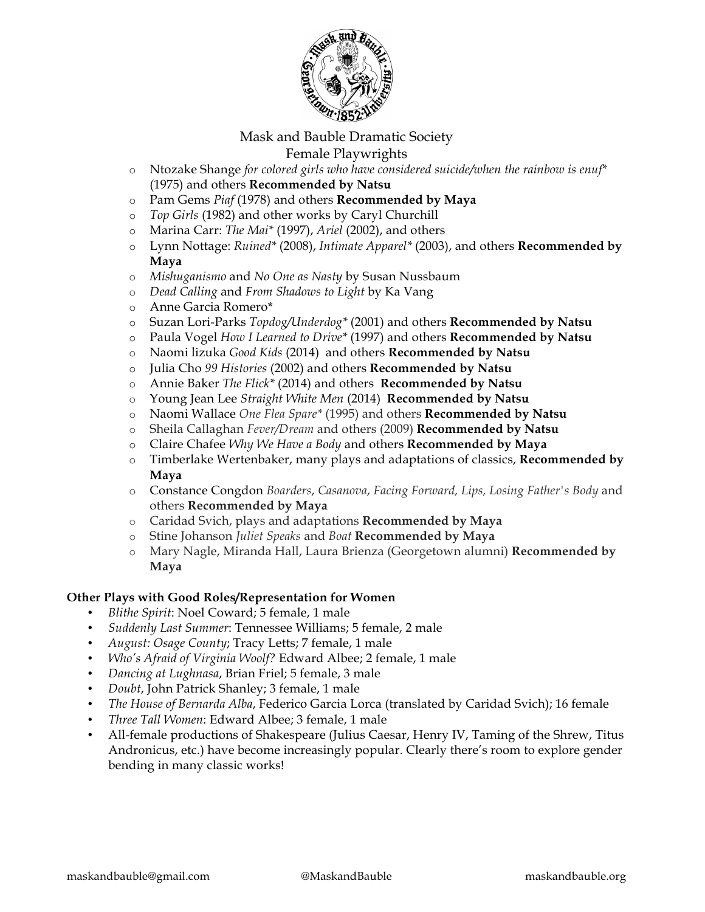

- o Ntozake Shange *for colored girls who have considered suicide/when the rainbow is enuf\**  (1975) and others **Recommended by Natsu**
- o Pam Gems *Piaf* (1978) and others **Recommended by Maya**
- o *Top Girls* (1982) and other works by Caryl Churchill
- o Marina Carr: *The Mai\** (1997), *Ariel* (2002), and others
- o Lynn Nottage: *Ruined\** (2008), *Intimate Apparel\** (2003), and others **Recommended by Maya**
- o *Mishuganismo* and *No One as Nasty* by Susan Nussbaum
- o *Dead Calling* and *From Shadows to Light* by Ka Vang
- o Anne Garcia Romero\*
- o Suzan Lori-Parks *Topdog/Underdog\** (2001) and others **Recommended by Natsu**
- o Paula Vogel *How I Learned to Drive\** (1997) and others **Recommended by Natsu**
- o Naomi lizuka *Good Kids* (2014) and others **Recommended by Natsu**
- o Julia Cho *99 Histories* (2002) and others **Recommended by Natsu**
- o Annie Baker *The Flick\** (2014) and others **Recommended by Natsu**
- o Young Jean Lee *Straight White Men* (2014) **Recommended by Natsu**
- o Naomi Wallace *One Flea Spare\** (1995) and others **Recommended by Natsu**
- o Sheila Callaghan *Fever/Dream* and others (2009) **Recommended by Natsu**
- o Claire Chafee *Why We Have a Body* and others **Recommended by Maya**
- o Timberlake Wertenbaker, many plays and adaptations of classics, **Recommended by Maya**
- o Constance Congdon *Boarders*, *Casanova*, *Facing Forward, Lips, Losing Father's Body* and others **Recommended by Maya**
- o Caridad Svich, plays and adaptations **Recommended by Maya**
- o Stine Johanson *Juliet Speaks* and *Boat* **Recommended by Maya**
- o Mary Nagle, Miranda Hall, Laura Brienza (Georgetown alumni) **Recommended by Maya**

#### **Other Plays with Good Roles/Representation for Women**

- *Blithe Spirit*: Noel Coward; 5 female, 1 male
- *Suddenly Last Summer*: Tennessee Williams; 5 female, 2 male
- *August: Osage County*; Tracy Letts; 7 female, 1 male
- *Who's Afraid of Virginia Woolf?* Edward Albee; 2 female, 1 male
- *Dancing at Lughnasa*, Brian Friel; 5 female, 3 male
- *Doubt*, John Patrick Shanley; 3 female, 1 male
- *The House of Bernarda Alba*, Federico Garcia Lorca (translated by Caridad Svich); 16 female
- *Three Tall Women*: Edward Albee; 3 female, 1 male
- All-female productions of Shakespeare (Julius Caesar, Henry IV, Taming of the Shrew, Titus Andronicus, etc.) have become increasingly popular. Clearly there's room to explore gender bending in many classic works!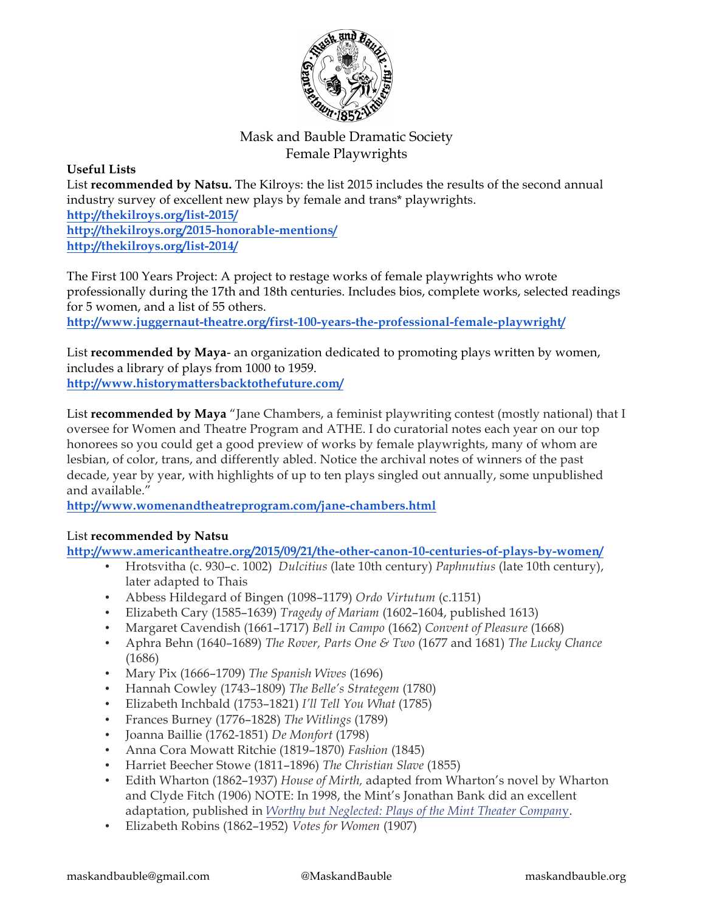

#### **Useful Lists**

List **recommended by Natsu.** The Kilroys: the list 2015 includes the results of the second annual industry survey of excellent new plays by female and trans\* playwrights. **http://thekilroys.org/list-2015/ http://thekilroys.org/2015-honorable-mentions/ http://thekilroys.org/list-2014/**

The First 100 Years Project: A project to restage works of female playwrights who wrote professionally during the 17th and 18th centuries. Includes bios, complete works, selected readings for 5 women, and a list of 55 others.

**http://www.juggernaut-theatre.org/first-100-years-the-professional-female-playwright/**

List **recommended by Maya**- an organization dedicated to promoting plays written by women, includes a library of plays from 1000 to 1959. **http://www.historymattersbacktothefuture.com/**

List **recommended by Maya** "Jane Chambers, a feminist playwriting contest (mostly national) that I oversee for Women and Theatre Program and ATHE. I do curatorial notes each year on our top honorees so you could get a good preview of works by female playwrights, many of whom are lesbian, of color, trans, and differently abled. Notice the archival notes of winners of the past decade, year by year, with highlights of up to ten plays singled out annually, some unpublished and available."

**http://www.womenandtheatreprogram.com/jane-chambers.html**

## List **recommended by Natsu**

**http://www.americantheatre.org/2015/09/21/the-other-canon-10-centuries-of-plays-by-women/**

- Hrotsvitha (c. 930–c. 1002) *Dulcitius* (late 10th century) *Paphnutius* (late 10th century), later adapted to Thais
- Abbess Hildegard of Bingen (1098–1179) *Ordo Virtutum* (c.1151)
- Elizabeth Cary (1585–1639) *Tragedy of Mariam* (1602–1604, published 1613)
- Margaret Cavendish (1661–1717) *Bell in Campo* (1662) *Convent of Pleasure* (1668)
- Aphra Behn (1640–1689) *The Rover, Parts One & Two* (1677 and 1681) *The Lucky Chance* (1686)
- Mary Pix (1666–1709) *The Spanish Wives* (1696)
- Hannah Cowley (1743–1809) *The Belle's Strategem* (1780)
- Elizabeth Inchbald (1753–1821) *I'll Tell You What* (1785)
- Frances Burney (1776–1828) *The Witlings* (1789)
- Joanna Baillie (1762-1851) *De Monfort* (1798)
- Anna Cora Mowatt Ritchie (1819–1870) *Fashion* (1845)
- Harriet Beecher Stowe (1811–1896) *The Christian Slave* (1855)
- Edith Wharton (1862–1937) *House of Mirth,* adapted from Wharton's novel by Wharton and Clyde Fitch (1906) NOTE: In 1998, the Mint's Jonathan Bank did an excellent adaptation, published in *Worthy but Neglected: Plays of the Mint Theater Compan*y.
- Elizabeth Robins (1862–1952) *Votes for Women* (1907)